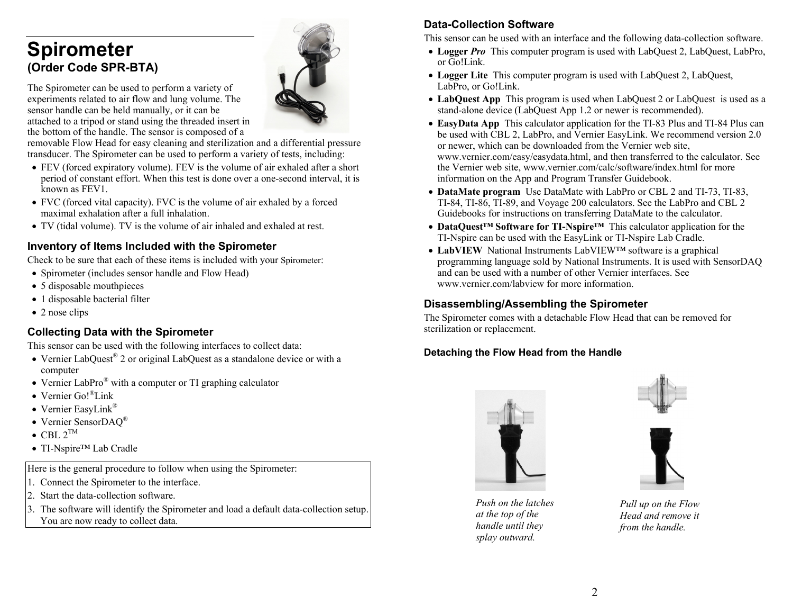# **Spirometer (Order Code SPR-BTA)**

The Spirometer can be used to perform a variety of experiments related to air flow and lung volume. The sensor handle can be held manually, or it can be attached to a tripod or stand using the threaded insert in the bottom of the handle. The sensor is composed of a

removable Flow Head for easy cleaning and sterilization and a differential pressure transducer. The Spirometer can be used to perform a variety of tests, including:

- FEV (forced expiratory volume). FEV is the volume of air exhaled after a short period of constant effort. When this test is done over a one-second interval, it is known as FEV1.
- FVC (forced vital capacity). FVC is the volume of air exhaled by a forced maximal exhalation after a full inhalation.
- TV (tidal volume). TV is the volume of air inhaled and exhaled at rest.

## **Inventory of Items Included with the Spirometer**

Check to be sure that each of these items is included with your Spirometer:

- Spirometer (includes sensor handle and Flow Head)
- 5 disposable mouthpieces
- 1 disposable bacterial filter
- 2 nose clips

## **Collecting Data with the Spirometer**

This sensor can be used with the following interfaces to collect data:

- Vernier LabQuest® 2 or original LabQuest as a standalone device or with a computer
- Vernier LabPro $^{\circledR}$  with a computer or TI graphing calculator
- Vernier Go!<sup>®</sup>Link
- Vernier EasyLink®
- Vernier SensorDAQ®
- $\bullet$  CBL  $2^{TM}$
- TI-Nspire™ Lab Cradle

Here is the general procedure to follow when using the Spirometer:

- 1. Connect the Spirometer to the interface.
- 2. Start the data-collection software.
- 3. The software will identify the Spirometer and load a default data-collection setup. You are now ready to collect data.

# **Data-Collection Software**

This sensor can be used with an interface and the following data-collection software.

- **Logger** *Pro* This computer program is used with LabQuest 2, LabQuest, LabPro, or Go!Link.
- Logger Lite This computer program is used with LabQuest 2, LabQuest, LabPro, or Go!Link.
- **LabQuest App** This program is used when LabQuest 2 or LabQuest is used as a stand-alone device (LabQuest App 1.2 or newer is recommended).
- **EasyData App** This calculator application for the TI-83 Plus and TI-84 Plus can be used with CBL 2, LabPro, and Vernier EasyLink. We recommend version 2.0 or newer, which can be downloaded from the Vernier web site, www.vernier.com/easy/easydata.html, and then transferred to the calculator. See the Vernier web site, www.vernier.com/calc/software/index.html for more information on the App and Program Transfer Guidebook.
- **DataMate program** Use DataMate with LabPro or CBL 2 and TI-73, TI-83, TI-84, TI-86, TI-89, and Voyage 200 calculators. See the LabPro and CBL 2 Guidebooks for instructions on transferring DataMate to the calculator.
- **DataQuest™ Software for TI-Nspire™** This calculator application for the TI-Nspire can be used with the EasyLink or TI-Nspire Lab Cradle.
- **LabVIEW** National Instruments LabVIEW™ software is a graphical programming language sold by National Instruments. It is used with SensorDAQ and can be used with a number of other Vernier interfaces. See www.vernier.com/labview for more information.

## **Disassembling/Assembling the Spirometer**

The Spirometer comes with a detachable Flow Head that can be removed for sterilization or replacement.

## **Detaching the Flow Head from the Handle**







*Push on the latches at the top of the handle until they splay outward.*

*Pull up on the Flow Head and remove it from the handle.*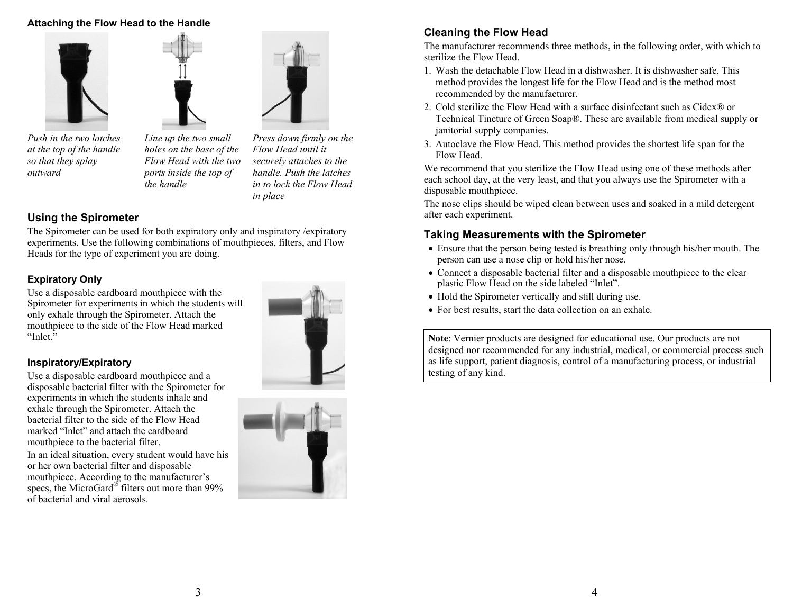#### **Attaching the Flow Head to the Handle**



*Push in the two latches at the top of the handle so that they splay outward* 

*Line up the two small holes on the base of the Flow Head with the two ports inside the top of the handle* 

*Press down firmly on the Flow Head until it securely attaches to the handle. Push the latches in to lock the Flow Head in place* 

## **Using the Spirometer**

The Spirometer can be used for both expiratory only and inspiratory /expiratory experiments. Use the following combinations of mouthpieces, filters, and Flow Heads for the type of experiment you are doing.

## **Expiratory Only**

Use a disposable cardboard mouthpiece with the Spirometer for experiments in which the students will only exhale through the Spirometer. Attach the mouthpiece to the side of the Flow Head marked "Inlet."

#### **Inspiratory/Expiratory**

Use a disposable cardboard mouthpiece and a disposable bacterial filter with the Spirometer for experiments in which the students inhale and exhale through the Spirometer. Attach the bacterial filter to the side of the Flow Head marked "Inlet" and attach the cardboard mouthpiece to the bacterial filter.

In an ideal situation, every student would have his or her own bacterial filter and disposable mouthpiece. According to the manufacturer's specs, the MicroGard<sup>®</sup> filters out more than 99% of bacterial and viral aerosols.





## **Cleaning the Flow Head**

The manufacturer recommends three methods, in the following order, with which to sterilize the Flow Head.

- 1. Wash the detachable Flow Head in a dishwasher. It is dishwasher safe. This method provides the longest life for the Flow Head and is the method most recommended by the manufacturer.
- 2. Cold sterilize the Flow Head with a surface disinfectant such as Cidex® or Technical Tincture of Green Soap®. These are available from medical supply or janitorial supply companies.
- 3. Autoclave the Flow Head. This method provides the shortest life span for the Flow Head.

We recommend that you sterilize the Flow Head using one of these methods after each school day, at the very least, and that you always use the Spirometer with a disposable mouthpiece.

The nose clips should be wiped clean between uses and soaked in a mild detergent after each experiment.

#### **Taking Measurements with the Spirometer**

- Ensure that the person being tested is breathing only through his/her mouth. The person can use a nose clip or hold his/her nose.
- Connect a disposable bacterial filter and a disposable mouthpiece to the clear plastic Flow Head on the side labeled "Inlet".
- Hold the Spirometer vertically and still during use.
- For best results, start the data collection on an exhale.

**Note**: Vernier products are designed for educational use. Our products are not designed nor recommended for any industrial, medical, or commercial process such as life support, patient diagnosis, control of a manufacturing process, or industrial testing of any kind.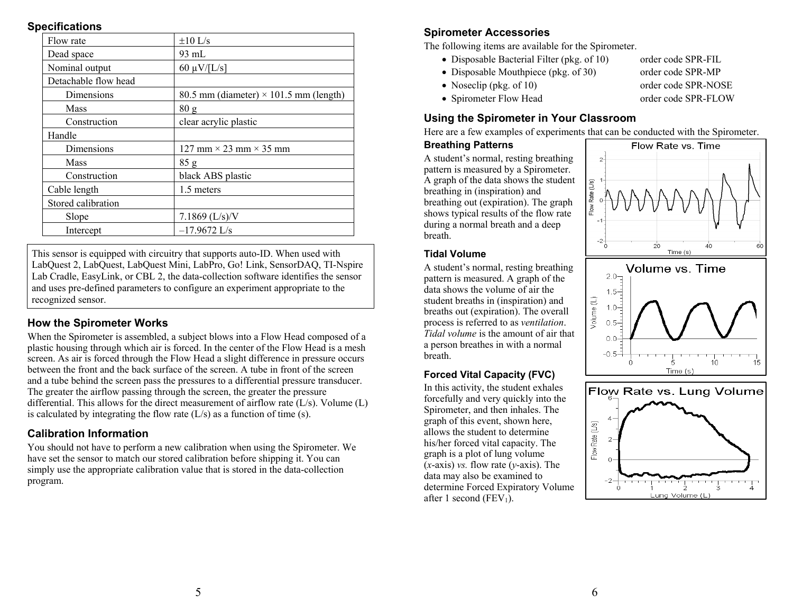#### **Specifications**

| Flow rate            | $\pm 10$ L/s                                  |
|----------------------|-----------------------------------------------|
| Dead space           | 93 mL                                         |
| Nominal output       | $60 \mu V/[L/s]$                              |
| Detachable flow head |                                               |
| Dimensions           | 80.5 mm (diameter) $\times$ 101.5 mm (length) |
| Mass                 | 80 <sub>g</sub>                               |
| Construction         | clear acrylic plastic                         |
| Handle               |                                               |
| Dimensions           | 127 mm $\times$ 23 mm $\times$ 35 mm          |
| Mass                 | 85 g                                          |
| Construction         | black ABS plastic                             |
| Cable length         | 1.5 meters                                    |
| Stored calibration   |                                               |
| Slope                | $7.1869$ (L/s)/V                              |
| Intercept            | $-17.9672$ L/s                                |
|                      |                                               |

This sensor is equipped with circuitry that supports auto-ID. When used with LabQuest 2, LabQuest, LabQuest Mini, LabPro, Go! Link, SensorDAQ, TI-Nspire Lab Cradle, EasyLink, or CBL 2, the data-collection software identifies the sensor and uses pre-defined parameters to configure an experiment appropriate to the recognized sensor.

## **How the Spirometer Works**

When the Spirometer is assembled, a subject blows into a Flow Head composed of a plastic housing through which air is forced. In the center of the Flow Head is a mesh screen. As air is forced through the Flow Head a slight difference in pressure occurs between the front and the back surface of the screen. A tube in front of the screen and a tube behind the screen pass the pressures to a differential pressure transducer. The greater the airflow passing through the screen, the greater the pressure differential. This allows for the direct measurement of airflow rate (L/s). Volume (L) is calculated by integrating the flow rate  $(L/s)$  as a function of time (s).

## **Calibration Information**

You should not have to perform a new calibration when using the Spirometer. We have set the sensor to match our stored calibration before shipping it. You can simply use the appropriate calibration value that is stored in the data-collection program.

## **Spirometer Accessories**

The following items are available for the Spirometer.

- Disposable Bacterial Filter (pkg. of 10) order code SPR-FIL
- Disposable Mouthpiece (pkg. of 30) order code SPR-MP
- Noseclip (pkg. of 10) order code SPR-NOSE
- 
- 
- Spirometer Flow Head order code SPR-FLOW

## **Using the Spirometer in Your Classroom**

Here are a few examples of experiments that can be conducted with the Spirometer.

#### **Breathing Patterns**

A student's normal, resting breathing pattern is measured by a Spirometer. A graph of the data shows the student breathing in (inspiration) and breathing out (expiration). The graph shows typical results of the flow rate during a normal breath and a deep breath.



A student's normal, resting breathing pattern is measured. A graph of the data shows the volume of air the student breaths in (inspiration) and breaths out (expiration). The overall process is referred to as *ventilation*. *Tidal volume* is the amount of air that a person breathes in with a normal breath.

## **Forced Vital Capacity (FVC)**

In this activity, the student exhales forcefully and very quickly into the Spirometer, and then inhales. The graph of this event, shown here, allows the student to determine his/her forced vital capacity. The graph is a plot of lung volume (*x*-axis) *vs.* flow rate (*y*-axis). The data may also be examined to determine Forced Expiratory Volume after 1 second (FEV<sub>1</sub>).